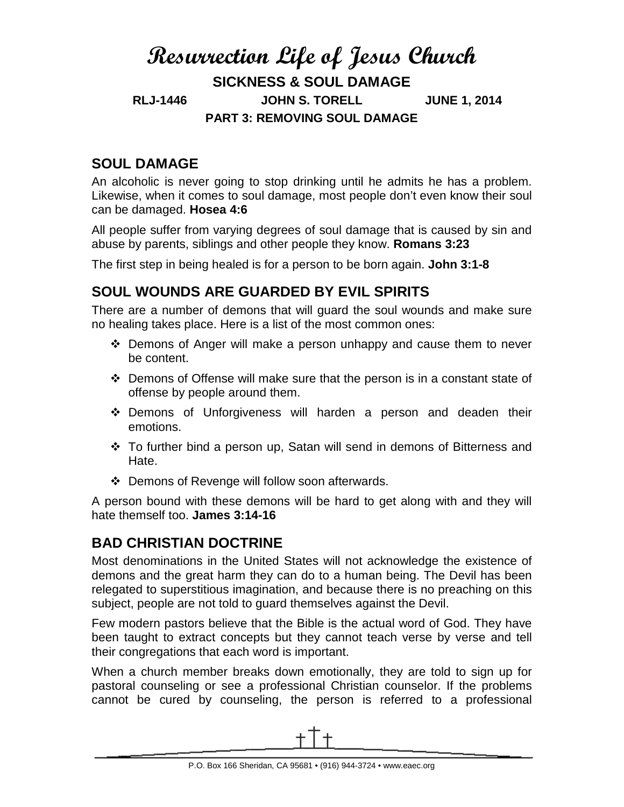# **Resurrection Life of Jesus Church SICKNESS & SOUL DAMAGE RLJ-1446 JOHN S. TORELL JUNE 1, 2014 PART 3: REMOVING SOUL DAMAGE**

### **SOUL DAMAGE**

An alcoholic is never going to stop drinking until he admits he has a problem. Likewise, when it comes to soul damage, most people don't even know their soul can be damaged. **Hosea 4:6**

All people suffer from varying degrees of soul damage that is caused by sin and abuse by parents, siblings and other people they know. **Romans 3:23**

The first step in being healed is for a person to be born again. **John 3:1-8**

#### **SOUL WOUNDS ARE GUARDED BY EVIL SPIRITS**

There are a number of demons that will guard the soul wounds and make sure no healing takes place. Here is a list of the most common ones:

- Demons of Anger will make a person unhappy and cause them to never be content.
- $\div$  Demons of Offense will make sure that the person is in a constant state of offense by people around them.
- \* Demons of Unforgiveness will harden a person and deaden their emotions.
- $\div$  To further bind a person up, Satan will send in demons of Bitterness and Hate.
- Demons of Revenge will follow soon afterwards.

A person bound with these demons will be hard to get along with and they will hate themself too. **James 3:14-16**

# **BAD CHRISTIAN DOCTRINE**

Most denominations in the United States will not acknowledge the existence of demons and the great harm they can do to a human being. The Devil has been relegated to superstitious imagination, and because there is no preaching on this subject, people are not told to guard themselves against the Devil.

Few modern pastors believe that the Bible is the actual word of God. They have been taught to extract concepts but they cannot teach verse by verse and tell their congregations that each word is important.

When a church member breaks down emotionally, they are told to sign up for pastoral counseling or see a professional Christian counselor. If the problems cannot be cured by counseling, the person is referred to a professional